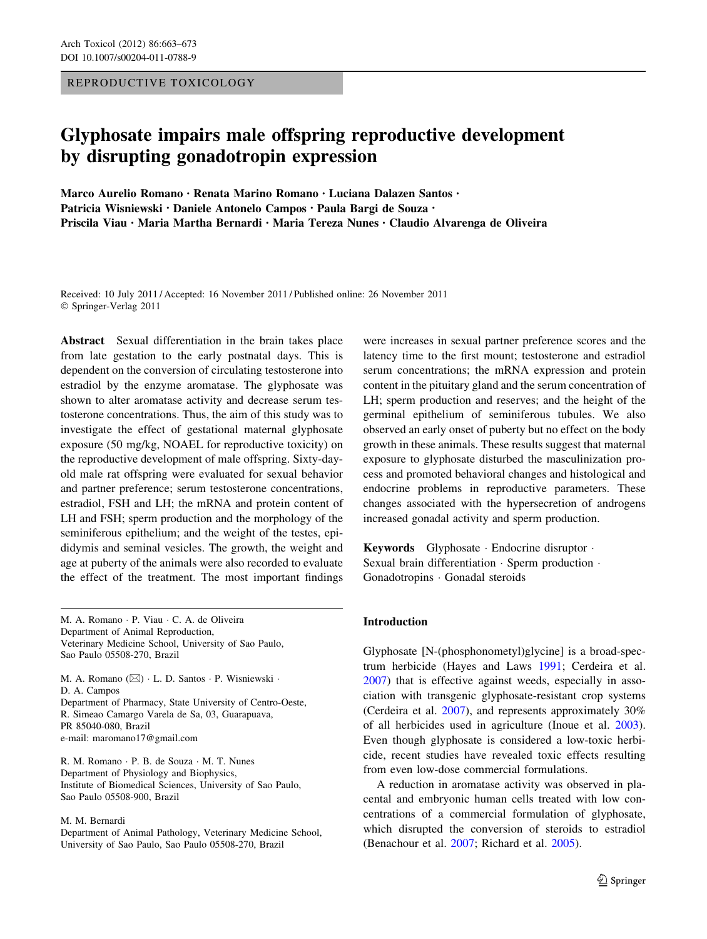REPRODUCTIVE TOXICOLOGY

# Glyphosate impairs male offspring reproductive development by disrupting gonadotropin expression

Marco Aurelio Romano • Renata Marino Romano • Luciana Dalazen Santos • Patricia Wisniewski • Daniele Antonelo Campos • Paula Bargi de Souza • Priscila Viau • Maria Martha Bernardi • Maria Tereza Nunes • Claudio Alvarenga de Oliveira

Received: 10 July 2011 / Accepted: 16 November 2011 / Published online: 26 November 2011 © Springer-Verlag 2011

Abstract Sexual differentiation in the brain takes place from late gestation to the early postnatal days. This is dependent on the conversion of circulating testosterone into estradiol by the enzyme aromatase. The glyphosate was shown to alter aromatase activity and decrease serum testosterone concentrations. Thus, the aim of this study was to investigate the effect of gestational maternal glyphosate exposure (50 mg/kg, NOAEL for reproductive toxicity) on the reproductive development of male offspring. Sixty-dayold male rat offspring were evaluated for sexual behavior and partner preference; serum testosterone concentrations, estradiol, FSH and LH; the mRNA and protein content of LH and FSH; sperm production and the morphology of the seminiferous epithelium; and the weight of the testes, epididymis and seminal vesicles. The growth, the weight and age at puberty of the animals were also recorded to evaluate the effect of the treatment. The most important findings

M. A. Romano - P. Viau - C. A. de Oliveira Department of Animal Reproduction, Veterinary Medicine School, University of Sao Paulo, Sao Paulo 05508-270, Brazil

M. A. Romano ( $\boxtimes$ ) · L. D. Santos · P. Wisniewski · D. A. Campos Department of Pharmacy, State University of Centro-Oeste, R. Simeao Camargo Varela de Sa, 03, Guarapuava, PR 85040-080, Brazil e-mail: maromano17@gmail.com

R. M. Romano - P. B. de Souza - M. T. Nunes Department of Physiology and Biophysics, Institute of Biomedical Sciences, University of Sao Paulo, Sao Paulo 05508-900, Brazil

#### M. M. Bernardi

Department of Animal Pathology, Veterinary Medicine School, University of Sao Paulo, Sao Paulo 05508-270, Brazil

were increases in sexual partner preference scores and the latency time to the first mount; testosterone and estradiol serum concentrations; the mRNA expression and protein content in the pituitary gland and the serum concentration of LH; sperm production and reserves; and the height of the germinal epithelium of seminiferous tubules. We also observed an early onset of puberty but no effect on the body growth in these animals. These results suggest that maternal exposure to glyphosate disturbed the masculinization process and promoted behavioral changes and histological and endocrine problems in reproductive parameters. These changes associated with the hypersecretion of androgens increased gonadal activity and sperm production.

Keywords Glyphosate - Endocrine disruptor - Sexual brain differentiation · Sperm production · Gonadotropins - Gonadal steroids

## Introduction

Glyphosate [N-(phosphonometyl)glycine] is a broad-spectrum herbicide (Hayes and Laws [1991;](#page-9-0) Cerdeira et al. [2007](#page-9-0)) that is effective against weeds, especially in association with transgenic glyphosate-resistant crop systems (Cerdeira et al. [2007](#page-9-0)), and represents approximately 30% of all herbicides used in agriculture (Inoue et al. [2003](#page-9-0)). Even though glyphosate is considered a low-toxic herbicide, recent studies have revealed toxic effects resulting from even low-dose commercial formulations.

A reduction in aromatase activity was observed in placental and embryonic human cells treated with low concentrations of a commercial formulation of glyphosate, which disrupted the conversion of steroids to estradiol (Benachour et al. [2007;](#page-9-0) Richard et al. [2005\)](#page-10-0).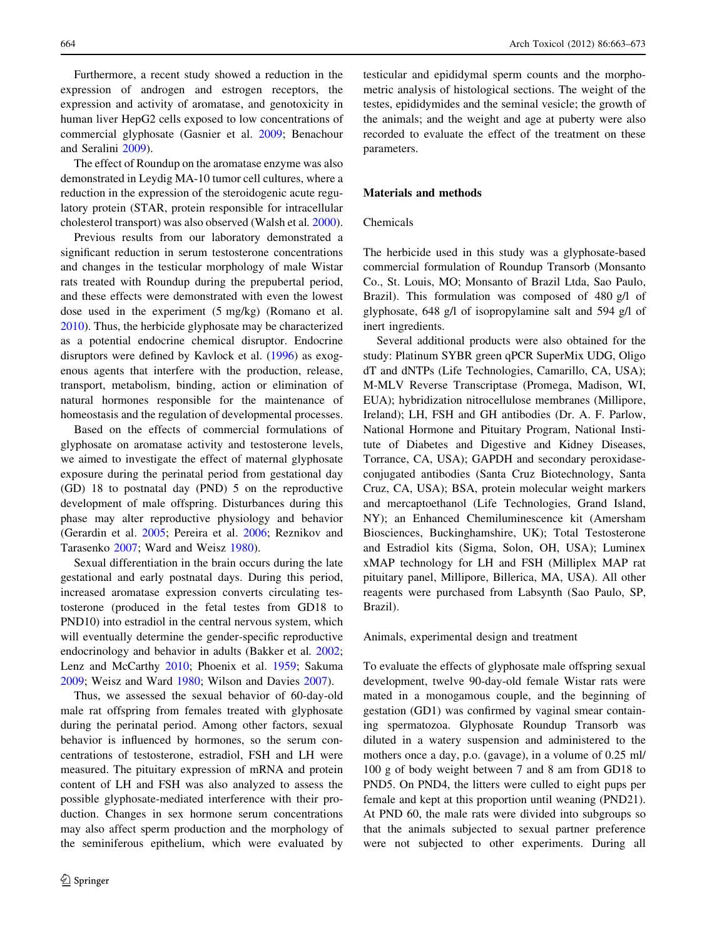Furthermore, a recent study showed a reduction in the expression of androgen and estrogen receptors, the expression and activity of aromatase, and genotoxicity in human liver HepG2 cells exposed to low concentrations of commercial glyphosate (Gasnier et al. [2009;](#page-9-0) Benachour and Seralini [2009](#page-9-0)).

The effect of Roundup on the aromatase enzyme was also demonstrated in Leydig MA-10 tumor cell cultures, where a reduction in the expression of the steroidogenic acute regulatory protein (STAR, protein responsible for intracellular cholesterol transport) was also observed (Walsh et al. [2000](#page-10-0)).

Previous results from our laboratory demonstrated a significant reduction in serum testosterone concentrations and changes in the testicular morphology of male Wistar rats treated with Roundup during the prepubertal period, and these effects were demonstrated with even the lowest dose used in the experiment (5 mg/kg) (Romano et al. [2010\)](#page-10-0). Thus, the herbicide glyphosate may be characterized as a potential endocrine chemical disruptor. Endocrine disruptors were defined by Kavlock et al. ([1996\)](#page-9-0) as exogenous agents that interfere with the production, release, transport, metabolism, binding, action or elimination of natural hormones responsible for the maintenance of homeostasis and the regulation of developmental processes.

Based on the effects of commercial formulations of glyphosate on aromatase activity and testosterone levels, we aimed to investigate the effect of maternal glyphosate exposure during the perinatal period from gestational day (GD) 18 to postnatal day (PND) 5 on the reproductive development of male offspring. Disturbances during this phase may alter reproductive physiology and behavior (Gerardin et al. [2005;](#page-9-0) Pereira et al. [2006;](#page-9-0) Reznikov and Tarasenko [2007;](#page-10-0) Ward and Weisz [1980\)](#page-10-0).

Sexual differentiation in the brain occurs during the late gestational and early postnatal days. During this period, increased aromatase expression converts circulating testosterone (produced in the fetal testes from GD18 to PND10) into estradiol in the central nervous system, which will eventually determine the gender-specific reproductive endocrinology and behavior in adults (Bakker et al. [2002](#page-9-0); Lenz and McCarthy [2010](#page-9-0); Phoenix et al. [1959;](#page-10-0) Sakuma [2009;](#page-10-0) Weisz and Ward [1980;](#page-10-0) Wilson and Davies [2007\)](#page-10-0).

Thus, we assessed the sexual behavior of 60-day-old male rat offspring from females treated with glyphosate during the perinatal period. Among other factors, sexual behavior is influenced by hormones, so the serum concentrations of testosterone, estradiol, FSH and LH were measured. The pituitary expression of mRNA and protein content of LH and FSH was also analyzed to assess the possible glyphosate-mediated interference with their production. Changes in sex hormone serum concentrations may also affect sperm production and the morphology of the seminiferous epithelium, which were evaluated by testicular and epididymal sperm counts and the morphometric analysis of histological sections. The weight of the testes, epididymides and the seminal vesicle; the growth of the animals; and the weight and age at puberty were also recorded to evaluate the effect of the treatment on these parameters.

# Materials and methods

# Chemicals

The herbicide used in this study was a glyphosate-based commercial formulation of Roundup Transorb (Monsanto Co., St. Louis, MO; Monsanto of Brazil Ltda, Sao Paulo, Brazil). This formulation was composed of 480 g/l of glyphosate, 648 g/l of isopropylamine salt and 594 g/l of inert ingredients.

Several additional products were also obtained for the study: Platinum SYBR green qPCR SuperMix UDG, Oligo dT and dNTPs (Life Technologies, Camarillo, CA, USA); M-MLV Reverse Transcriptase (Promega, Madison, WI, EUA); hybridization nitrocellulose membranes (Millipore, Ireland); LH, FSH and GH antibodies (Dr. A. F. Parlow, National Hormone and Pituitary Program, National Institute of Diabetes and Digestive and Kidney Diseases, Torrance, CA, USA); GAPDH and secondary peroxidaseconjugated antibodies (Santa Cruz Biotechnology, Santa Cruz, CA, USA); BSA, protein molecular weight markers and mercaptoethanol (Life Technologies, Grand Island, NY); an Enhanced Chemiluminescence kit (Amersham Biosciences, Buckinghamshire, UK); Total Testosterone and Estradiol kits (Sigma, Solon, OH, USA); Luminex xMAP technology for LH and FSH (Milliplex MAP rat pituitary panel, Millipore, Billerica, MA, USA). All other reagents were purchased from Labsynth (Sao Paulo, SP, Brazil).

## Animals, experimental design and treatment

To evaluate the effects of glyphosate male offspring sexual development, twelve 90-day-old female Wistar rats were mated in a monogamous couple, and the beginning of gestation (GD1) was confirmed by vaginal smear containing spermatozoa. Glyphosate Roundup Transorb was diluted in a watery suspension and administered to the mothers once a day, p.o. (gavage), in a volume of 0.25 ml/ 100 g of body weight between 7 and 8 am from GD18 to PND5. On PND4, the litters were culled to eight pups per female and kept at this proportion until weaning (PND21). At PND 60, the male rats were divided into subgroups so that the animals subjected to sexual partner preference were not subjected to other experiments. During all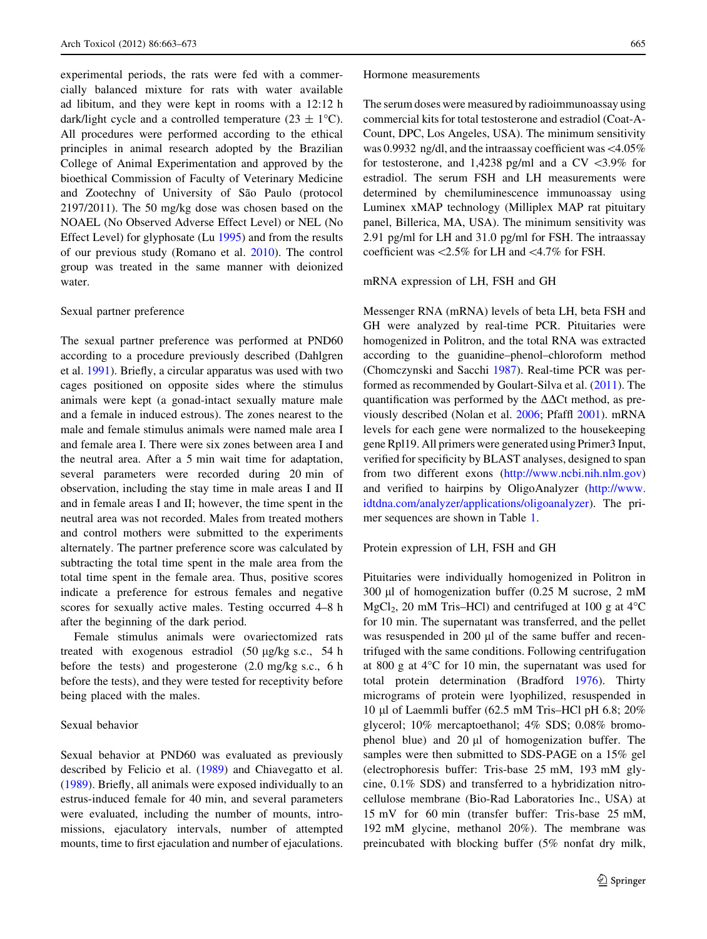experimental periods, the rats were fed with a commercially balanced mixture for rats with water available ad libitum, and they were kept in rooms with a 12:12 h dark/light cycle and a controlled temperature (23  $\pm$  1°C). All procedures were performed according to the ethical principles in animal research adopted by the Brazilian College of Animal Experimentation and approved by the bioethical Commission of Faculty of Veterinary Medicine and Zootechny of University of São Paulo (protocol 2197/2011). The 50 mg/kg dose was chosen based on the NOAEL (No Observed Adverse Effect Level) or NEL (No Effect Level) for glyphosate (Lu [1995\)](#page-9-0) and from the results of our previous study (Romano et al. [2010](#page-10-0)). The control group was treated in the same manner with deionized water.

## Sexual partner preference

The sexual partner preference was performed at PND60 according to a procedure previously described (Dahlgren et al. [1991](#page-9-0)). Briefly, a circular apparatus was used with two cages positioned on opposite sides where the stimulus animals were kept (a gonad-intact sexually mature male and a female in induced estrous). The zones nearest to the male and female stimulus animals were named male area I and female area I. There were six zones between area I and the neutral area. After a 5 min wait time for adaptation, several parameters were recorded during 20 min of observation, including the stay time in male areas I and II and in female areas I and II; however, the time spent in the neutral area was not recorded. Males from treated mothers and control mothers were submitted to the experiments alternately. The partner preference score was calculated by subtracting the total time spent in the male area from the total time spent in the female area. Thus, positive scores indicate a preference for estrous females and negative scores for sexually active males. Testing occurred 4–8 h after the beginning of the dark period.

Female stimulus animals were ovariectomized rats treated with exogenous estradiol  $(50 \text{ µg/kg s.c.}, 54 \text{ h})$ before the tests) and progesterone (2.0 mg/kg s.c., 6 h before the tests), and they were tested for receptivity before being placed with the males.

## Sexual behavior

Sexual behavior at PND60 was evaluated as previously described by Felicio et al. ([1989\)](#page-9-0) and Chiavegatto et al. [\(1989](#page-9-0)). Briefly, all animals were exposed individually to an estrus-induced female for 40 min, and several parameters were evaluated, including the number of mounts, intromissions, ejaculatory intervals, number of attempted mounts, time to first ejaculation and number of ejaculations.

## Hormone measurements

The serum doses were measured by radioimmunoassay using commercial kits for total testosterone and estradiol (Coat-A-Count, DPC, Los Angeles, USA). The minimum sensitivity was 0.9932 ng/dl, and the intraassay coefficient was\4.05% for testosterone, and 1,4238 pg/ml and a  $CV \leq 3.9\%$  for estradiol. The serum FSH and LH measurements were determined by chemiluminescence immunoassay using Luminex xMAP technology (Milliplex MAP rat pituitary panel, Billerica, MA, USA). The minimum sensitivity was 2.91 pg/ml for LH and 31.0 pg/ml for FSH. The intraassay coefficient was  $\langle 2.5\%$  for LH and  $\langle 4.7\%$  for FSH.

## mRNA expression of LH, FSH and GH

Messenger RNA (mRNA) levels of beta LH, beta FSH and GH were analyzed by real-time PCR. Pituitaries were homogenized in Politron, and the total RNA was extracted according to the guanidine–phenol–chloroform method (Chomczynski and Sacchi [1987](#page-9-0)). Real-time PCR was performed as recommended by Goulart-Silva et al. ([2011\)](#page-9-0). The quantification was performed by the  $\Delta\Delta$ Ct method, as previously described (Nolan et al. [2006;](#page-9-0) Pfaffl [2001](#page-10-0)). mRNA levels for each gene were normalized to the housekeeping gene Rpl19. All primers were generated using Primer3 Input, verified for specificity by BLAST analyses, designed to span from two different exons ([http://www.ncbi.nih.nlm.gov\)](http://www.ncbi.nih.nlm.gov) and verified to hairpins by OligoAnalyzer [\(http://www.](http://www.idtdna.com/analyzer/applications/oligoanalyzer) [idtdna.com/analyzer/applications/oligoanalyzer](http://www.idtdna.com/analyzer/applications/oligoanalyzer)). The primer sequences are shown in Table [1.](#page-3-0)

## Protein expression of LH, FSH and GH

Pituitaries were individually homogenized in Politron in 300  $\mu$ l of homogenization buffer (0.25 M sucrose, 2 mM  $MgCl<sub>2</sub>$ , 20 mM Tris–HCl) and centrifuged at 100 g at 4 $\degree$ C for 10 min. The supernatant was transferred, and the pellet was resuspended in 200  $\mu$ l of the same buffer and recentrifuged with the same conditions. Following centrifugation at 800 g at  $4^{\circ}$ C for 10 min, the supernatant was used for total protein determination (Bradford [1976](#page-9-0)). Thirty micrograms of protein were lyophilized, resuspended in 10 ll of Laemmli buffer (62.5 mM Tris–HCl pH 6.8; 20% glycerol; 10% mercaptoethanol; 4% SDS; 0.08% bromophenol blue) and  $20 \mu l$  of homogenization buffer. The samples were then submitted to SDS-PAGE on a 15% gel (electrophoresis buffer: Tris-base 25 mM, 193 mM glycine, 0.1% SDS) and transferred to a hybridization nitrocellulose membrane (Bio-Rad Laboratories Inc., USA) at 15 mV for 60 min (transfer buffer: Tris-base 25 mM, 192 mM glycine, methanol 20%). The membrane was preincubated with blocking buffer (5% nonfat dry milk,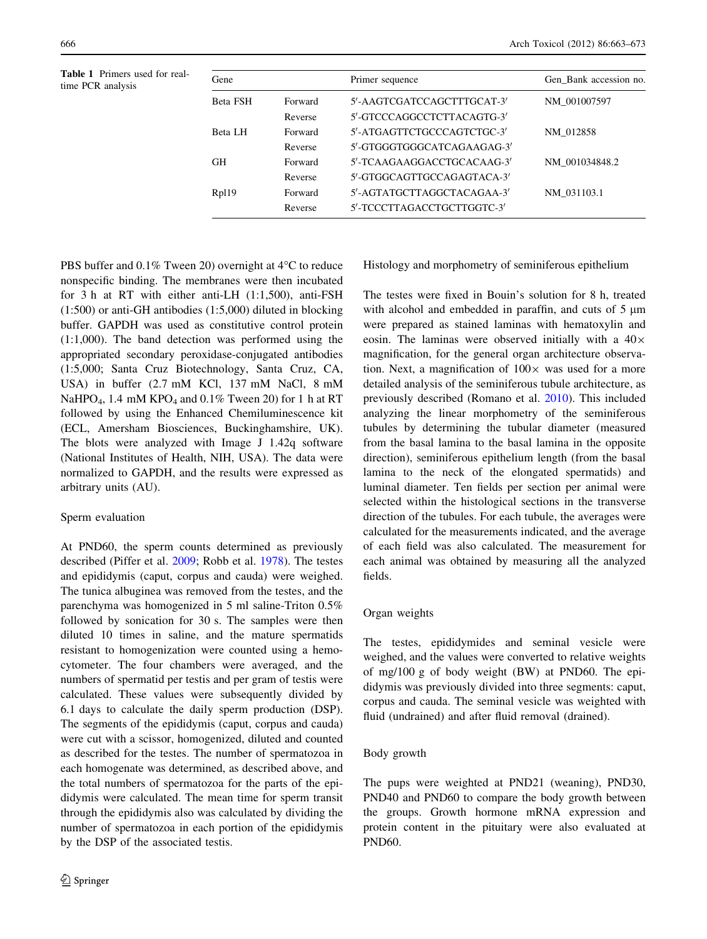Table 1 Primers used for real-

<span id="page-3-0"></span>

| Table 1 Primers used for real-<br>time PCR analysis | Gene            |         | Primer sequence            | Gen Bank accession no. |
|-----------------------------------------------------|-----------------|---------|----------------------------|------------------------|
|                                                     | <b>Beta FSH</b> | Forward | 5'-AAGTCGATCCAGCTTTGCAT-3' | NM 001007597           |
|                                                     |                 | Reverse | 5'-GTCCCAGGCCTCTTACAGTG-3' |                        |
|                                                     | Beta LH         | Forward | 5'-ATGAGTTCTGCCCAGTCTGC-3' | NM 012858              |
|                                                     |                 | Reverse | 5'-GTGGGTGGCATCAGAAGAG-3'  |                        |
|                                                     | <b>GH</b>       | Forward | 5'-TCAAGAAGGACCTGCACAAG-3' | NM_001034848.2         |
|                                                     |                 | Reverse | 5'-GTGGCAGTTGCCAGAGTACA-3' |                        |
|                                                     | Rp119           | Forward | 5'-AGTATGCTTAGGCTACAGAA-3' | NM 031103.1            |
|                                                     |                 | Reverse | 5'-TCCCTTAGACCTGCTTGGTC-3' |                        |

PBS buffer and  $0.1\%$  Tween 20) overnight at 4 $\rm ^{o}C$  to reduce nonspecific binding. The membranes were then incubated for 3 h at RT with either anti-LH (1:1,500), anti-FSH (1:500) or anti-GH antibodies (1:5,000) diluted in blocking buffer. GAPDH was used as constitutive control protein (1:1,000). The band detection was performed using the appropriated secondary peroxidase-conjugated antibodies (1:5,000; Santa Cruz Biotechnology, Santa Cruz, CA, USA) in buffer (2.7 mM KCl, 137 mM NaCl, 8 mM NaHPO<sub>4</sub>, 1.4 mM KPO<sub>4</sub> and 0.1% Tween 20) for 1 h at RT followed by using the Enhanced Chemiluminescence kit (ECL, Amersham Biosciences, Buckinghamshire, UK). The blots were analyzed with Image J 1.42q software (National Institutes of Health, NIH, USA). The data were normalized to GAPDH, and the results were expressed as arbitrary units (AU).

# Sperm evaluation

At PND60, the sperm counts determined as previously described (Piffer et al. [2009](#page-10-0); Robb et al. [1978](#page-10-0)). The testes and epididymis (caput, corpus and cauda) were weighed. The tunica albuginea was removed from the testes, and the parenchyma was homogenized in 5 ml saline-Triton 0.5% followed by sonication for 30 s. The samples were then diluted 10 times in saline, and the mature spermatids resistant to homogenization were counted using a hemocytometer. The four chambers were averaged, and the numbers of spermatid per testis and per gram of testis were calculated. These values were subsequently divided by 6.1 days to calculate the daily sperm production (DSP). The segments of the epididymis (caput, corpus and cauda) were cut with a scissor, homogenized, diluted and counted as described for the testes. The number of spermatozoa in each homogenate was determined, as described above, and the total numbers of spermatozoa for the parts of the epididymis were calculated. The mean time for sperm transit through the epididymis also was calculated by dividing the number of spermatozoa in each portion of the epididymis by the DSP of the associated testis.

Histology and morphometry of seminiferous epithelium

The testes were fixed in Bouin's solution for 8 h, treated with alcohol and embedded in paraffin, and cuts of  $5 \mu m$ were prepared as stained laminas with hematoxylin and eosin. The laminas were observed initially with a  $40\times$ magnification, for the general organ architecture observation. Next, a magnification of  $100 \times$  was used for a more detailed analysis of the seminiferous tubule architecture, as previously described (Romano et al. [2010\)](#page-10-0). This included analyzing the linear morphometry of the seminiferous tubules by determining the tubular diameter (measured from the basal lamina to the basal lamina in the opposite direction), seminiferous epithelium length (from the basal lamina to the neck of the elongated spermatids) and luminal diameter. Ten fields per section per animal were selected within the histological sections in the transverse direction of the tubules. For each tubule, the averages were calculated for the measurements indicated, and the average of each field was also calculated. The measurement for each animal was obtained by measuring all the analyzed fields.

# Organ weights

The testes, epididymides and seminal vesicle were weighed, and the values were converted to relative weights of mg/100 g of body weight (BW) at PND60. The epididymis was previously divided into three segments: caput, corpus and cauda. The seminal vesicle was weighted with fluid (undrained) and after fluid removal (drained).

## Body growth

The pups were weighted at PND21 (weaning), PND30, PND40 and PND60 to compare the body growth between the groups. Growth hormone mRNA expression and protein content in the pituitary were also evaluated at PND60.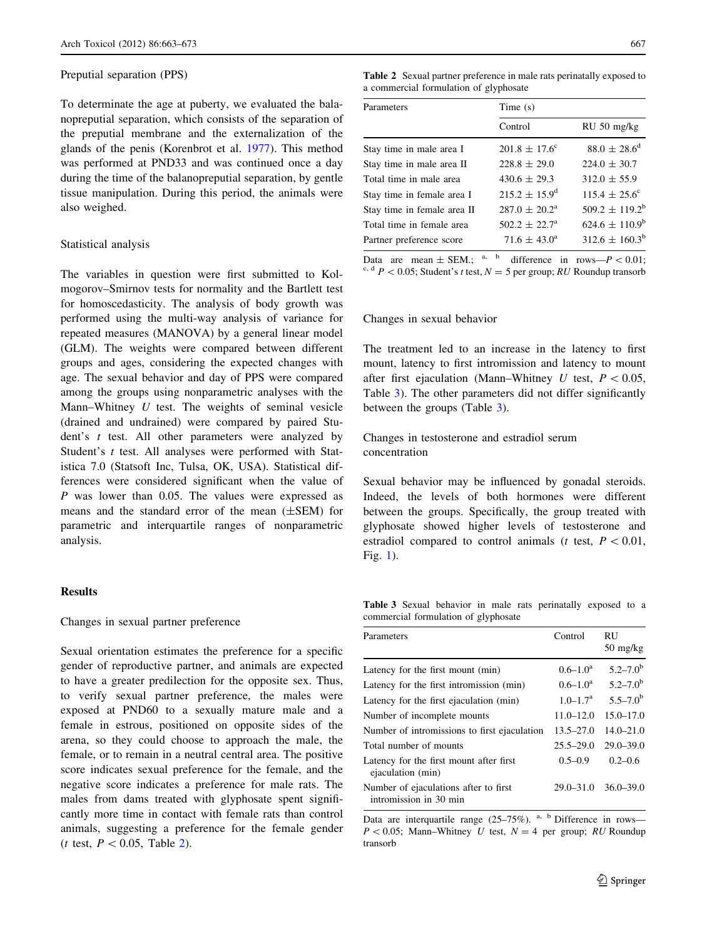## Preputial separation (PPS)

To determinate the age at puberty, we evaluated the balanopreputial separation, which consists of the separation of the preputial membrane and the externalization of the glands of the penis (Korenbrot et al. [1977\)](#page-9-0). This method was performed at PND33 and was continued once a day during the time of the balanopreputial separation, by gentle tissue manipulation. During this period, the animals were also weighed.

# Statistical analysis

The variables in question were first submitted to Kolmogorov–Smirnov tests for normality and the Bartlett test for homoscedasticity. The analysis of body growth was performed using the multi-way analysis of variance for repeated measures (MANOVA) by a general linear model (GLM). The weights were compared between different groups and ages, considering the expected changes with age. The sexual behavior and day of PPS were compared among the groups using nonparametric analyses with the Mann–Whitney  $U$  test. The weights of seminal vesicle (drained and undrained) were compared by paired Student's  $t$  test. All other parameters were analyzed by Student's t test. All analyses were performed with Statistica 7.0 (Statsoft Inc, Tulsa, OK, USA). Statistical differences were considered significant when the value of P was lower than 0.05. The values were expressed as means and the standard error of the mean (±SEM) for parametric and interquartile ranges of nonparametric analysis.

## Results

## Changes in sexual partner preference

Sexual orientation estimates the preference for a specific gender of reproductive partner, and animals are expected to have a greater predilection for the opposite sex. Thus, to verify sexual partner preference, the males were exposed at PND60 to a sexually mature male and a female in estrous, positioned on opposite sides of the arena, so they could choose to approach the male, the female, or to remain in a neutral central area. The positive score indicates sexual preference for the female, and the negative score indicates a preference for male rats. The males from dams treated with glyphosate spent significantly more time in contact with female rats than control animals, suggesting a preference for the female gender (*t* test,  $P < 0.05$ , Table 2).

Table 2 Sexual partner preference in male rats perinatally exposed to a commercial formulation of glyphosate

| Parameters                  | Time $(s)$               |                          |  |
|-----------------------------|--------------------------|--------------------------|--|
|                             | Control                  | $RU 50$ mg/kg            |  |
| Stay time in male area I    | $201.8 \pm 17.6^{\circ}$ | $88.0 \pm 28.6^{\circ}$  |  |
| Stay time in male area II   | $228.8 \pm 29.0$         | $224.0 \pm 30.7$         |  |
| Total time in male area     | $430.6 \pm 29.3$         | $312.0 \pm 55.9$         |  |
| Stay time in female area I  | $215.2 \pm 15.9^d$       | $115.4 \pm 25.6^{\circ}$ |  |
| Stay time in female area II | $287.0 \pm 20.2^{\circ}$ | $509.2 \pm 119.2^b$      |  |
| Total time in female area   | $502.2 + 22.7a$          | $624.6 \pm 110.9^b$      |  |
| Partner preference score    | $71.6 \pm 43.0^{\circ}$  | $312.6 \pm 160.3^b$      |  |

Data are mean  $\pm$  SEM.; <sup>a, b</sup> difference in rows— $P < 0.01$ ; <sup>c, d</sup>  $P$  < 0.05; Student's t test,  $N = 5$  per group; RU Roundup transorb

# Changes in sexual behavior

The treatment led to an increase in the latency to first mount, latency to first intromission and latency to mount after first ejaculation (Mann–Whitney U test,  $P < 0.05$ , Table 3). The other parameters did not differ significantly between the groups (Table 3).

Changes in testosterone and estradiol serum concentration

Sexual behavior may be influenced by gonadal steroids. Indeed, the levels of both hormones were different between the groups. Specifically, the group treated with glyphosate showed higher levels of testosterone and estradiol compared to control animals (*t* test,  $P < 0.01$ , Fig. [1](#page-5-0)).

Table 3 Sexual behavior in male rats perinatally exposed to a commercial formulation of glyphosate

| Parameters                                                      | Control       | <b>RU</b><br>$50 \text{ mg/kg}$ |
|-----------------------------------------------------------------|---------------|---------------------------------|
| Latency for the first mount (min)                               | $0.6 - 1.0a$  | $5.2 - 7.0^{\rm b}$             |
| Latency for the first intromission (min)                        | $0.6 - 1.0a$  | $5.2 - 7.0^{\rm b}$             |
| Latency for the first ejaculation (min)                         | $1.0 - 1.7a$  | $5.5 - 7.0^{\rm b}$             |
| Number of incomplete mounts                                     | $11.0 - 12.0$ | $15.0 - 17.0$                   |
| Number of intromissions to first ejaculation                    | $13.5 - 27.0$ | $14.0 - 21.0$                   |
| Total number of mounts                                          | $25.5 - 29.0$ | $29.0 - 39.0$                   |
| Latency for the first mount after first<br>ejaculation (min)    | $0.5 - 0.9$   | $0.2 - 0.6$                     |
| Number of ejaculations after to first<br>intromission in 30 min |               | $29.0 - 31.0$ $36.0 - 39.0$     |

Data are interquartile range  $(25-75\%)$ . <sup>a, b</sup> Difference in rows—  $P < 0.05$ ; Mann–Whitney U test,  $N = 4$  per group; RU Roundup transorb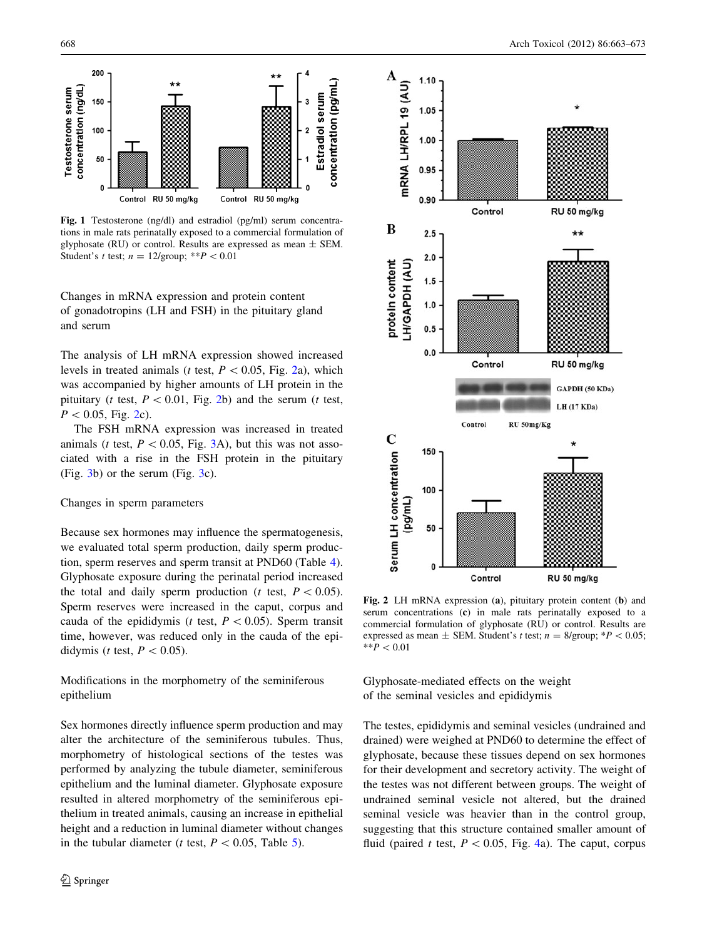<span id="page-5-0"></span>

Fig. 1 Testosterone (ng/dl) and estradiol (pg/ml) serum concentrations in male rats perinatally exposed to a commercial formulation of glyphosate (RU) or control. Results are expressed as mean  $\pm$  SEM. Student's t test;  $n = 12$ /group; \*\* $P < 0.01$ 

Changes in mRNA expression and protein content of gonadotropins (LH and FSH) in the pituitary gland and serum

The analysis of LH mRNA expression showed increased levels in treated animals (*t* test,  $P < 0.05$ , Fig. 2a), which was accompanied by higher amounts of LH protein in the pituitary (*t* test,  $P < 0.01$ , Fig. 2b) and the serum (*t* test,  $P < 0.05$ , Fig. 2c).

The FSH mRNA expression was increased in treated animals (*t* test,  $P < 0.05$ , Fig. [3](#page-6-0)A), but this was not associated with a rise in the FSH protein in the pituitary (Fig. [3](#page-6-0)b) or the serum (Fig. [3](#page-6-0)c).

# Changes in sperm parameters

Because sex hormones may influence the spermatogenesis, we evaluated total sperm production, daily sperm production, sperm reserves and sperm transit at PND60 (Table [4](#page-6-0)). Glyphosate exposure during the perinatal period increased the total and daily sperm production (*t* test,  $P \leq 0.05$ ). Sperm reserves were increased in the caput, corpus and cauda of the epididymis (t test,  $P < 0.05$ ). Sperm transit time, however, was reduced only in the cauda of the epididymis (*t* test,  $P < 0.05$ ).

Modifications in the morphometry of the seminiferous epithelium

Sex hormones directly influence sperm production and may alter the architecture of the seminiferous tubules. Thus, morphometry of histological sections of the testes was performed by analyzing the tubule diameter, seminiferous epithelium and the luminal diameter. Glyphosate exposure resulted in altered morphometry of the seminiferous epithelium in treated animals, causing an increase in epithelial height and a reduction in luminal diameter without changes in the tubular diameter (*t* test,  $P < 0.05$ , Table [5\)](#page-6-0).



Fig. 2 LH mRNA expression (a), pituitary protein content (b) and serum concentrations (c) in male rats perinatally exposed to a commercial formulation of glyphosate (RU) or control. Results are expressed as mean  $\pm$  SEM. Student's t test;  $n = 8$ /group; \* $P < 0.05$ ;  $*$ <sup>\*</sup> $P < 0.01$ 

Glyphosate-mediated effects on the weight of the seminal vesicles and epididymis

The testes, epididymis and seminal vesicles (undrained and drained) were weighed at PND60 to determine the effect of glyphosate, because these tissues depend on sex hormones for their development and secretory activity. The weight of the testes was not different between groups. The weight of undrained seminal vesicle not altered, but the drained seminal vesicle was heavier than in the control group, suggesting that this structure contained smaller amount of fluid (paired t test,  $P \le 0.05$ , Fig. [4a](#page-7-0)). The caput, corpus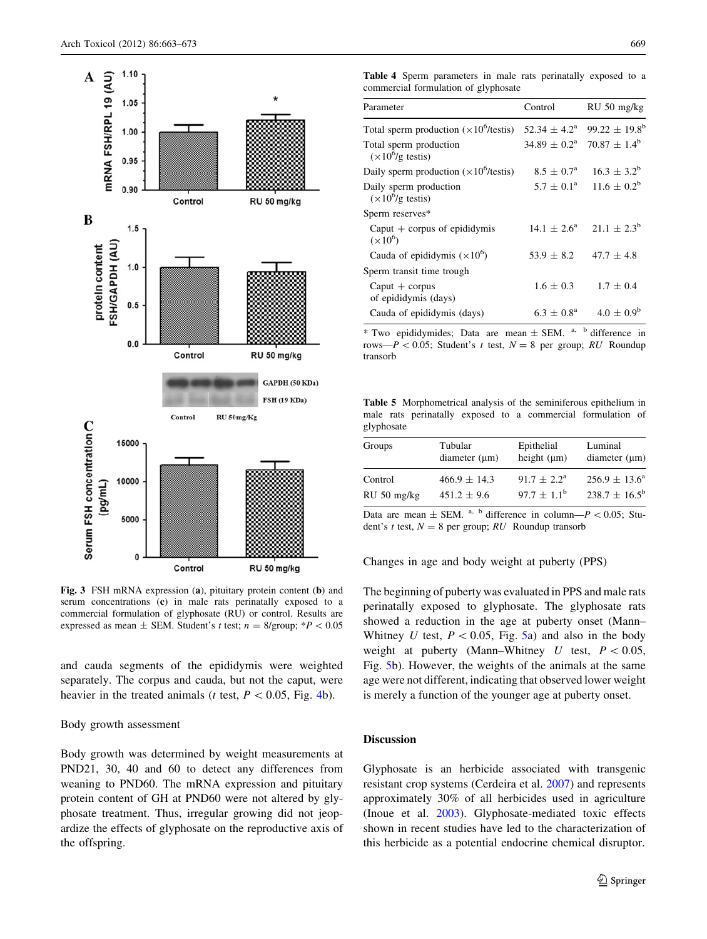<span id="page-6-0"></span>

Fig. 3 FSH mRNA expression (a), pituitary protein content (b) and serum concentrations (c) in male rats perinatally exposed to a commercial formulation of glyphosate (RU) or control. Results are expressed as mean  $\pm$  SEM. Student's t test;  $n = 8$ /group; \* $P < 0.05$ 

and cauda segments of the epididymis were weighted separately. The corpus and cauda, but not the caput, were heavier in the treated animals (t test,  $P < 0.05$ , Fig. [4b](#page-7-0)).

## Body growth assessment

Body growth was determined by weight measurements at PND21, 30, 40 and 60 to detect any differences from weaning to PND60. The mRNA expression and pituitary protein content of GH at PND60 were not altered by glyphosate treatment. Thus, irregular growing did not jeopardize the effects of glyphosate on the reproductive axis of the offspring.

Table 4 Sperm parameters in male rats perinatally exposed to a commercial formulation of glyphosate

| Parameter                                               | Control                 | RU 50 mg/kg                                           |
|---------------------------------------------------------|-------------------------|-------------------------------------------------------|
| Total sperm production $(\times 10^6$ /testis)          | $52.34 \pm 4.2^{\circ}$ | $99.22 \pm 19.8^{\circ}$                              |
| Total sperm production<br>$(\times 10^6/g \text{ test}$ |                         | $34.89 \pm 0.2^{\text{a}}$ 70.87 $\pm 1.4^{\text{b}}$ |
| Daily sperm production $(x10^6$ /testis)                | $8.5 \pm 0.7^{\circ}$   | $16.3 \pm 3.2^b$                                      |
| Daily sperm production<br>$(\times 10^6/g \text{ test}$ | $5.7 \pm 0.1^{\circ}$   | $11.6 \pm 0.2^b$                                      |
| Sperm reserves*                                         |                         |                                                       |
| Caput $+$ corpus of epididymis<br>$(\times 10^6)$       | $14.1 \pm 2.6^{\circ}$  | $21.1 \pm 2.3^b$                                      |
| Cauda of epididymis $(\times 10^6)$                     | $53.9 \pm 8.2$          | $47.7 \pm 4.8$                                        |
| Sperm transit time trough                               |                         |                                                       |
| $Caput + copus$<br>of epididymis (days)                 | $1.6 \pm 0.3$           | $1.7 \pm 0.4$                                         |
| Cauda of epididymis (days)                              | $6.3 \pm 0.8^{\rm a}$   | $4.0 \pm 0.9^{\rm b}$                                 |
|                                                         |                         |                                                       |

\* Two epididymides; Data are mean  $\pm$  SEM.  $a$ ,  $b$  difference in rows— $P < 0.05$ ; Student's t test,  $N = 8$  per group; RU Roundup transorb

Table 5 Morphometrical analysis of the seminiferous epithelium in male rats perinatally exposed to a commercial formulation of glyphosate

| Groups      | Tubular          | Epithelial                | Luminal                  |
|-------------|------------------|---------------------------|--------------------------|
|             | diameter (µm)    | height $(\mu m)$          | diameter $(\mu m)$       |
| Control     | $466.9 \pm 14.3$ | $91.7 \pm 2.2^{\text{a}}$ | $256.9 \pm 13.6^{\circ}$ |
| RU 50 mg/kg | $451.2 \pm 9.6$  | $97.7 \pm 1.1^{\circ}$    | $238.7 \pm 16.5^{\rm b}$ |

Data are mean  $\pm$  SEM. <sup>a, b</sup> difference in column— $P \lt 0.05$ ; Student's t test,  $N = 8$  per group; RU Roundup transorb

Changes in age and body weight at puberty (PPS)

The beginning of puberty was evaluated in PPS and male rats perinatally exposed to glyphosate. The glyphosate rats showed a reduction in the age at puberty onset (Mann– Whitney U test,  $P \le 0.05$ , Fig. [5a](#page-7-0)) and also in the body weight at puberty (Mann–Whitney U test,  $P < 0.05$ , Fig. [5](#page-7-0)b). However, the weights of the animals at the same age were not different, indicating that observed lower weight is merely a function of the younger age at puberty onset.

## Discussion

Glyphosate is an herbicide associated with transgenic resistant crop systems (Cerdeira et al. [2007](#page-9-0)) and represents approximately 30% of all herbicides used in agriculture (Inoue et al. [2003\)](#page-9-0). Glyphosate-mediated toxic effects shown in recent studies have led to the characterization of this herbicide as a potential endocrine chemical disruptor.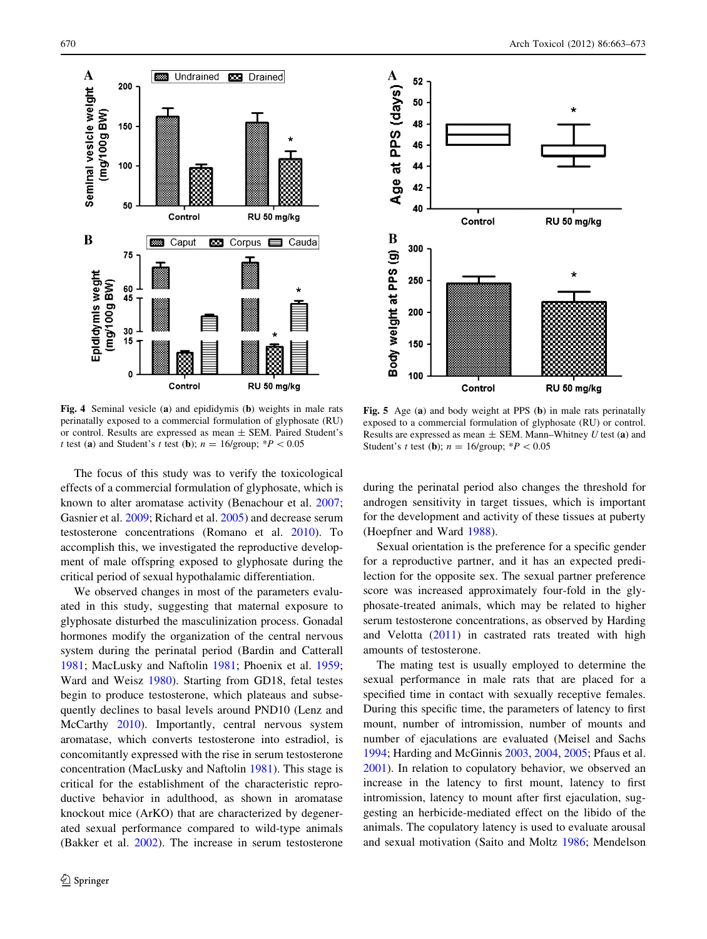<span id="page-7-0"></span>

Fig. 4 Seminal vesicle (a) and epididymis (b) weights in male rats perinatally exposed to a commercial formulation of glyphosate (RU) or control. Results are expressed as mean ± SEM. Paired Student's

The focus of this study was to verify the toxicological effects of a commercial formulation of glyphosate, which is known to alter aromatase activity (Benachour et al. [2007](#page-9-0); Gasnier et al. [2009;](#page-9-0) Richard et al. [2005\)](#page-10-0) and decrease serum testosterone concentrations (Romano et al. [2010](#page-10-0)). To accomplish this, we investigated the reproductive development of male offspring exposed to glyphosate during the critical period of sexual hypothalamic differentiation.

t test (a) and Student's t test (b);  $n = 16$ /group; \*P < 0.05

We observed changes in most of the parameters evaluated in this study, suggesting that maternal exposure to glyphosate disturbed the masculinization process. Gonadal hormones modify the organization of the central nervous system during the perinatal period (Bardin and Catterall [1981;](#page-9-0) MacLusky and Naftolin [1981](#page-9-0); Phoenix et al. [1959](#page-10-0); Ward and Weisz [1980\)](#page-10-0). Starting from GD18, fetal testes begin to produce testosterone, which plateaus and subsequently declines to basal levels around PND10 (Lenz and McCarthy [2010\)](#page-9-0). Importantly, central nervous system aromatase, which converts testosterone into estradiol, is concomitantly expressed with the rise in serum testosterone concentration (MacLusky and Naftolin [1981](#page-9-0)). This stage is critical for the establishment of the characteristic reproductive behavior in adulthood, as shown in aromatase knockout mice (ArKO) that are characterized by degenerated sexual performance compared to wild-type animals (Bakker et al. [2002](#page-9-0)). The increase in serum testosterone



Fig. 5 Age (a) and body weight at PPS (b) in male rats perinatally exposed to a commercial formulation of glyphosate (RU) or control. Results are expressed as mean  $\pm$  SEM. Mann–Whitney U test (a) and Student's t test (**b**);  $n = 16$ /group; \* $P < 0.05$ 

during the perinatal period also changes the threshold for androgen sensitivity in target tissues, which is important for the development and activity of these tissues at puberty (Hoepfner and Ward [1988\)](#page-9-0).

Sexual orientation is the preference for a specific gender for a reproductive partner, and it has an expected predilection for the opposite sex. The sexual partner preference score was increased approximately four-fold in the glyphosate-treated animals, which may be related to higher serum testosterone concentrations, as observed by Harding and Velotta [\(2011](#page-9-0)) in castrated rats treated with high amounts of testosterone.

The mating test is usually employed to determine the sexual performance in male rats that are placed for a specified time in contact with sexually receptive females. During this specific time, the parameters of latency to first mount, number of intromission, number of mounts and number of ejaculations are evaluated (Meisel and Sachs [1994](#page-9-0); Harding and McGinnis [2003](#page-9-0), [2004](#page-9-0), [2005](#page-9-0); Pfaus et al. [2001](#page-10-0)). In relation to copulatory behavior, we observed an increase in the latency to first mount, latency to first intromission, latency to mount after first ejaculation, suggesting an herbicide-mediated effect on the libido of the animals. The copulatory latency is used to evaluate arousal and sexual motivation (Saito and Moltz [1986](#page-10-0); Mendelson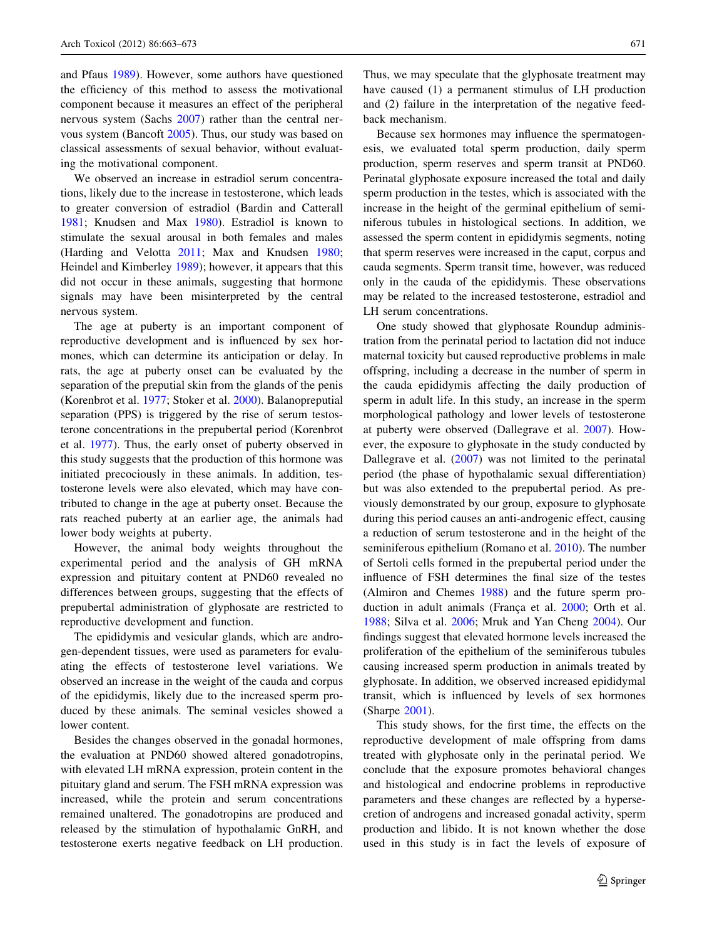and Pfaus [1989](#page-9-0)). However, some authors have questioned the efficiency of this method to assess the motivational component because it measures an effect of the peripheral nervous system (Sachs [2007](#page-10-0)) rather than the central nervous system (Bancoft [2005\)](#page-9-0). Thus, our study was based on classical assessments of sexual behavior, without evaluating the motivational component.

We observed an increase in estradiol serum concentrations, likely due to the increase in testosterone, which leads to greater conversion of estradiol (Bardin and Catterall [1981;](#page-9-0) Knudsen and Max [1980\)](#page-9-0). Estradiol is known to stimulate the sexual arousal in both females and males (Harding and Velotta [2011](#page-9-0); Max and Knudsen [1980](#page-9-0); Heindel and Kimberley [1989\)](#page-9-0); however, it appears that this did not occur in these animals, suggesting that hormone signals may have been misinterpreted by the central nervous system.

The age at puberty is an important component of reproductive development and is influenced by sex hormones, which can determine its anticipation or delay. In rats, the age at puberty onset can be evaluated by the separation of the preputial skin from the glands of the penis (Korenbrot et al. [1977](#page-9-0); Stoker et al. [2000\)](#page-10-0). Balanopreputial separation (PPS) is triggered by the rise of serum testosterone concentrations in the prepubertal period (Korenbrot et al. [1977](#page-9-0)). Thus, the early onset of puberty observed in this study suggests that the production of this hormone was initiated precociously in these animals. In addition, testosterone levels were also elevated, which may have contributed to change in the age at puberty onset. Because the rats reached puberty at an earlier age, the animals had lower body weights at puberty.

However, the animal body weights throughout the experimental period and the analysis of GH mRNA expression and pituitary content at PND60 revealed no differences between groups, suggesting that the effects of prepubertal administration of glyphosate are restricted to reproductive development and function.

The epididymis and vesicular glands, which are androgen-dependent tissues, were used as parameters for evaluating the effects of testosterone level variations. We observed an increase in the weight of the cauda and corpus of the epididymis, likely due to the increased sperm produced by these animals. The seminal vesicles showed a lower content.

Besides the changes observed in the gonadal hormones, the evaluation at PND60 showed altered gonadotropins, with elevated LH mRNA expression, protein content in the pituitary gland and serum. The FSH mRNA expression was increased, while the protein and serum concentrations remained unaltered. The gonadotropins are produced and released by the stimulation of hypothalamic GnRH, and testosterone exerts negative feedback on LH production.

Thus, we may speculate that the glyphosate treatment may have caused (1) a permanent stimulus of LH production and (2) failure in the interpretation of the negative feedback mechanism.

Because sex hormones may influence the spermatogenesis, we evaluated total sperm production, daily sperm production, sperm reserves and sperm transit at PND60. Perinatal glyphosate exposure increased the total and daily sperm production in the testes, which is associated with the increase in the height of the germinal epithelium of seminiferous tubules in histological sections. In addition, we assessed the sperm content in epididymis segments, noting that sperm reserves were increased in the caput, corpus and cauda segments. Sperm transit time, however, was reduced only in the cauda of the epididymis. These observations may be related to the increased testosterone, estradiol and LH serum concentrations.

One study showed that glyphosate Roundup administration from the perinatal period to lactation did not induce maternal toxicity but caused reproductive problems in male offspring, including a decrease in the number of sperm in the cauda epididymis affecting the daily production of sperm in adult life. In this study, an increase in the sperm morphological pathology and lower levels of testosterone at puberty were observed (Dallegrave et al. [2007\)](#page-9-0). However, the exposure to glyphosate in the study conducted by Dallegrave et al. [\(2007](#page-9-0)) was not limited to the perinatal period (the phase of hypothalamic sexual differentiation) but was also extended to the prepubertal period. As previously demonstrated by our group, exposure to glyphosate during this period causes an anti-androgenic effect, causing a reduction of serum testosterone and in the height of the seminiferous epithelium (Romano et al. [2010](#page-10-0)). The number of Sertoli cells formed in the prepubertal period under the influence of FSH determines the final size of the testes (Almiron and Chemes [1988\)](#page-9-0) and the future sperm pro-duction in adult animals (França et al. [2000](#page-9-0); Orth et al. [1988](#page-9-0); Silva et al. [2006](#page-10-0); Mruk and Yan Cheng [2004](#page-9-0)). Our findings suggest that elevated hormone levels increased the proliferation of the epithelium of the seminiferous tubules causing increased sperm production in animals treated by glyphosate. In addition, we observed increased epididymal transit, which is influenced by levels of sex hormones (Sharpe [2001\)](#page-10-0).

This study shows, for the first time, the effects on the reproductive development of male offspring from dams treated with glyphosate only in the perinatal period. We conclude that the exposure promotes behavioral changes and histological and endocrine problems in reproductive parameters and these changes are reflected by a hypersecretion of androgens and increased gonadal activity, sperm production and libido. It is not known whether the dose used in this study is in fact the levels of exposure of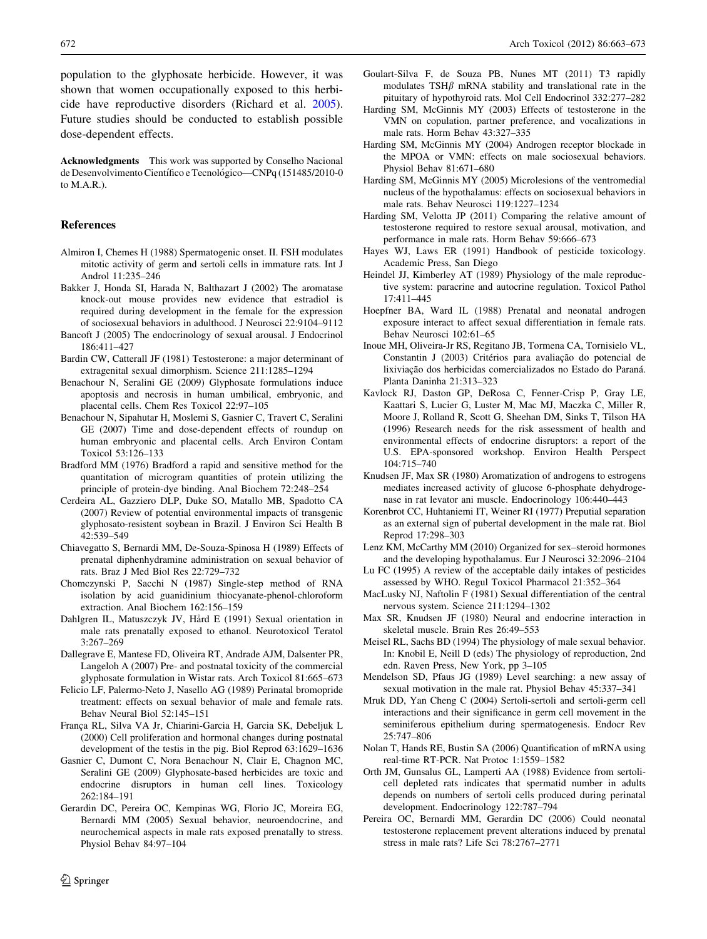<span id="page-9-0"></span>population to the glyphosate herbicide. However, it was shown that women occupationally exposed to this herbicide have reproductive disorders (Richard et al. [2005](#page-10-0)). Future studies should be conducted to establish possible dose-dependent effects.

Acknowledgments This work was supported by Conselho Nacional de Desenvolvimento Científico e Tecnológico—CNPq (151485/2010-0 to M.A.R.).

## References

- Almiron I, Chemes H (1988) Spermatogenic onset. II. FSH modulates mitotic activity of germ and sertoli cells in immature rats. Int J Androl 11:235–246
- Bakker J, Honda SI, Harada N, Balthazart J (2002) The aromatase knock-out mouse provides new evidence that estradiol is required during development in the female for the expression of sociosexual behaviors in adulthood. J Neurosci 22:9104–9112
- Bancoft J (2005) The endocrinology of sexual arousal. J Endocrinol 186:411–427
- Bardin CW, Catterall JF (1981) Testosterone: a major determinant of extragenital sexual dimorphism. Science 211:1285–1294
- Benachour N, Seralini GE (2009) Glyphosate formulations induce apoptosis and necrosis in human umbilical, embryonic, and placental cells. Chem Res Toxicol 22:97–105
- Benachour N, Sipahutar H, Moslemi S, Gasnier C, Travert C, Seralini GE (2007) Time and dose-dependent effects of roundup on human embryonic and placental cells. Arch Environ Contam Toxicol 53:126–133
- Bradford MM (1976) Bradford a rapid and sensitive method for the quantitation of microgram quantities of protein utilizing the principle of protein-dye binding. Anal Biochem 72:248–254
- Cerdeira AL, Gazziero DLP, Duke SO, Matallo MB, Spadotto CA (2007) Review of potential environmental impacts of transgenic glyphosato-resistent soybean in Brazil. J Environ Sci Health B 42:539–549
- Chiavegatto S, Bernardi MM, De-Souza-Spinosa H (1989) Effects of prenatal diphenhydramine administration on sexual behavior of rats. Braz J Med Biol Res 22:729–732
- Chomczynski P, Sacchi N (1987) Single-step method of RNA isolation by acid guanidinium thiocyanate-phenol-chloroform extraction. Anal Biochem 162:156–159
- Dahlgren IL, Matuszczyk JV, Hård E (1991) Sexual orientation in male rats prenatally exposed to ethanol. Neurotoxicol Teratol 3:267–269
- Dallegrave E, Mantese FD, Oliveira RT, Andrade AJM, Dalsenter PR, Langeloh A (2007) Pre- and postnatal toxicity of the commercial glyphosate formulation in Wistar rats. Arch Toxicol 81:665–673
- Felicio LF, Palermo-Neto J, Nasello AG (1989) Perinatal bromopride treatment: effects on sexual behavior of male and female rats. Behav Neural Biol 52:145–151
- França RL, Silva VA Jr, Chiarini-Garcia H, Garcia SK, Debeljuk L (2000) Cell proliferation and hormonal changes during postnatal development of the testis in the pig. Biol Reprod 63:1629–1636
- Gasnier C, Dumont C, Nora Benachour N, Clair E, Chagnon MC, Seralini GE (2009) Glyphosate-based herbicides are toxic and endocrine disruptors in human cell lines. Toxicology 262:184–191
- Gerardin DC, Pereira OC, Kempinas WG, Florio JC, Moreira EG, Bernardi MM (2005) Sexual behavior, neuroendocrine, and neurochemical aspects in male rats exposed prenatally to stress. Physiol Behav 84:97–104
- Goulart-Silva F, de Souza PB, Nunes MT (2011) T3 rapidly modulates TSH $\beta$  mRNA stability and translational rate in the pituitary of hypothyroid rats. Mol Cell Endocrinol 332:277–282
- Harding SM, McGinnis MY (2003) Effects of testosterone in the VMN on copulation, partner preference, and vocalizations in male rats. Horm Behav 43:327–335
- Harding SM, McGinnis MY (2004) Androgen receptor blockade in the MPOA or VMN: effects on male sociosexual behaviors. Physiol Behav 81:671–680
- Harding SM, McGinnis MY (2005) Microlesions of the ventromedial nucleus of the hypothalamus: effects on sociosexual behaviors in male rats. Behav Neurosci 119:1227–1234
- Harding SM, Velotta JP (2011) Comparing the relative amount of testosterone required to restore sexual arousal, motivation, and performance in male rats. Horm Behav 59:666–673
- Hayes WJ, Laws ER (1991) Handbook of pesticide toxicology. Academic Press, San Diego
- Heindel JJ, Kimberley AT (1989) Physiology of the male reproductive system: paracrine and autocrine regulation. Toxicol Pathol 17:411–445
- Hoepfner BA, Ward IL (1988) Prenatal and neonatal androgen exposure interact to affect sexual differentiation in female rats. Behav Neurosci 102:61–65
- Inoue MH, Oliveira-Jr RS, Regitano JB, Tormena CA, Tornisielo VL, Constantin J (2003) Critérios para avaliação do potencial de lixiviação dos herbicidas comercializados no Estado do Paraná. Planta Daninha 21:313–323
- Kavlock RJ, Daston GP, DeRosa C, Fenner-Crisp P, Gray LE, Kaattari S, Lucier G, Luster M, Mac MJ, Maczka C, Miller R, Moore J, Rolland R, Scott G, Sheehan DM, Sinks T, Tilson HA (1996) Research needs for the risk assessment of health and environmental effects of endocrine disruptors: a report of the U.S. EPA-sponsored workshop. Environ Health Perspect 104:715–740
- Knudsen JF, Max SR (1980) Aromatization of androgens to estrogens mediates increased activity of glucose 6-phosphate dehydrogenase in rat levator ani muscle. Endocrinology 106:440–443
- Korenbrot CC, Huhtaniemi IT, Weiner RI (1977) Preputial separation as an external sign of pubertal development in the male rat. Biol Reprod 17:298–303
- Lenz KM, McCarthy MM (2010) Organized for sex–steroid hormones and the developing hypothalamus. Eur J Neurosci 32:2096–2104
- Lu FC (1995) A review of the acceptable daily intakes of pesticides assessed by WHO. Regul Toxicol Pharmacol 21:352–364
- MacLusky NJ, Naftolin F (1981) Sexual differentiation of the central nervous system. Science 211:1294–1302
- Max SR, Knudsen JF (1980) Neural and endocrine interaction in skeletal muscle. Brain Res 26:49–553
- Meisel RL, Sachs BD (1994) The physiology of male sexual behavior. In: Knobil E, Neill D (eds) The physiology of reproduction, 2nd edn. Raven Press, New York, pp 3–105
- Mendelson SD, Pfaus JG (1989) Level searching: a new assay of sexual motivation in the male rat. Physiol Behav 45:337–341
- Mruk DD, Yan Cheng C (2004) Sertoli-sertoli and sertoli-germ cell interactions and their significance in germ cell movement in the seminiferous epithelium during spermatogenesis. Endocr Rev 25:747–806
- Nolan T, Hands RE, Bustin SA (2006) Quantification of mRNA using real-time RT-PCR. Nat Protoc 1:1559–1582
- Orth JM, Gunsalus GL, Lamperti AA (1988) Evidence from sertolicell depleted rats indicates that spermatid number in adults depends on numbers of sertoli cells produced during perinatal development. Endocrinology 122:787–794
- Pereira OC, Bernardi MM, Gerardin DC (2006) Could neonatal testosterone replacement prevent alterations induced by prenatal stress in male rats? Life Sci 78:2767–2771